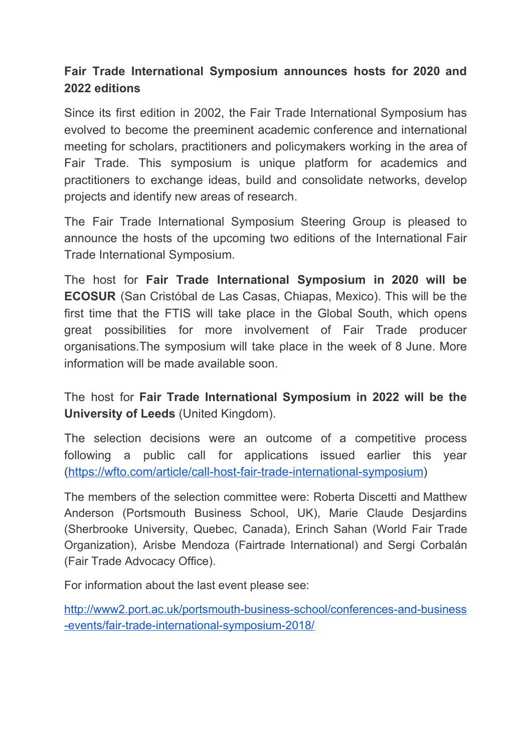## **Fair Trade International Symposium announces hosts for 2020 and 2022 editions**

Since its first edition in 2002, the Fair Trade International Symposium has evolved to become the preeminent academic conference and international meeting for scholars, practitioners and policymakers working in the area of Fair Trade. This symposium is unique platform for academics and practitioners to exchange ideas, build and consolidate networks, develop projects and identify new areas of research.

The Fair Trade International Symposium Steering Group is pleased to announce the hosts of the upcoming two editions of the International Fair Trade International Symposium.

The host for **Fair Trade International Symposium in 2020 will be ECOSUR** (San Cristóbal de Las Casas, Chiapas, Mexico). This will be the first time that the FTIS will take place in the Global South, which opens great possibilities for more involvement of Fair Trade producer organisations.The symposium will take place in the week of 8 June. More information will be made available soon.

The host for **Fair Trade International Symposium in 2022 will be the University of Leeds** (United Kingdom).

The selection decisions were an outcome of a competitive process following a public call for applications issued earlier this year (<https://wfto.com/article/call-host-fair-trade-international-symposium>)

The members of the selection committee were: Roberta Discetti and Matthew Anderson (Portsmouth Business School, UK), Marie Claude Desjardins (Sherbrooke University, Quebec, Canada), Erinch Sahan (World Fair Trade Organization), Arisbe Mendoza (Fairtrade International) and Sergi Corbalán (Fair Trade Advocacy Office).

For information about the last event please see:

[http://www2.port.ac.uk/portsmouth-business-school/conferences-and-business](http://www2.port.ac.uk/portsmouth-business-school/conferences-and-business-events/fair-trade-international-symposium-2018/) [-events/fair-trade-international-symposium-2018/](http://www2.port.ac.uk/portsmouth-business-school/conferences-and-business-events/fair-trade-international-symposium-2018/)